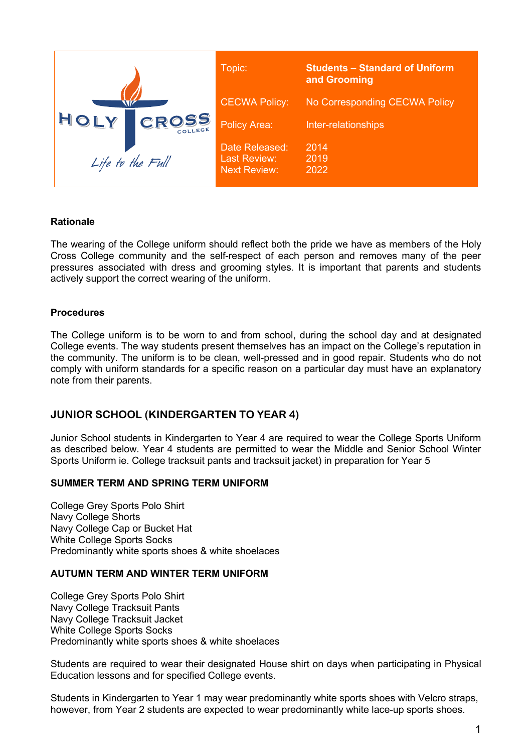

### **Rationale**

The wearing of the College uniform should reflect both the pride we have as members of the Holy Cross College community and the self-respect of each person and removes many of the peer pressures associated with dress and grooming styles. It is important that parents and students actively support the correct wearing of the uniform.

### **Procedures**

The College uniform is to be worn to and from school, during the school day and at designated College events. The way students present themselves has an impact on the College's reputation in the community. The uniform is to be clean, well-pressed and in good repair. Students who do not comply with uniform standards for a specific reason on a particular day must have an explanatory note from their parents.

## **JUNIOR SCHOOL (KINDERGARTEN TO YEAR 4)**

Junior School students in Kindergarten to Year 4 are required to wear the College Sports Uniform as described below. Year 4 students are permitted to wear the Middle and Senior School Winter Sports Uniform ie. College tracksuit pants and tracksuit jacket) in preparation for Year 5

### **SUMMER TERM AND SPRING TERM UNIFORM**

College Grey Sports Polo Shirt Navy College Shorts Navy College Cap or Bucket Hat White College Sports Socks Predominantly white sports shoes & white shoelaces

### **AUTUMN TERM AND WINTER TERM UNIFORM**

College Grey Sports Polo Shirt Navy College Tracksuit Pants Navy College Tracksuit Jacket White College Sports Socks Predominantly white sports shoes & white shoelaces

Students are required to wear their designated House shirt on days when participating in Physical Education lessons and for specified College events.

Students in Kindergarten to Year 1 may wear predominantly white sports shoes with Velcro straps, however, from Year 2 students are expected to wear predominantly white lace-up sports shoes.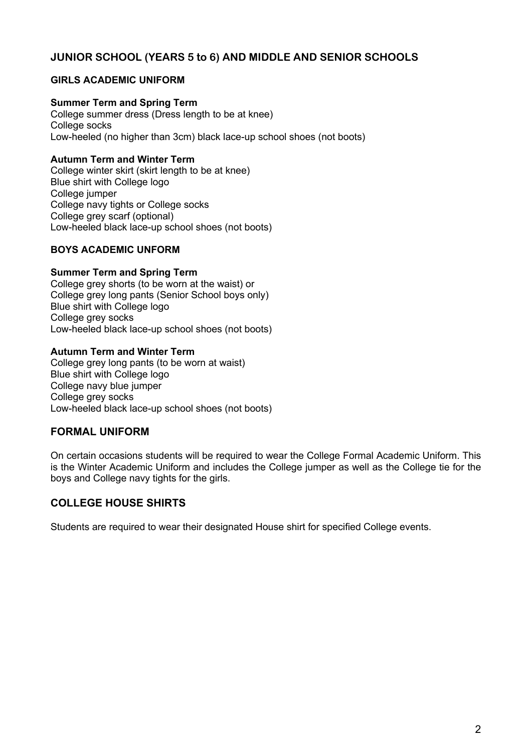# **JUNIOR SCHOOL (YEARS 5 to 6) AND MIDDLE AND SENIOR SCHOOLS**

# **GIRLS ACADEMIC UNIFORM**

## **Summer Term and Spring Term**

College summer dress (Dress length to be at knee) College socks Low-heeled (no higher than 3cm) black lace-up school shoes (not boots)

### **Autumn Term and Winter Term**

College winter skirt (skirt length to be at knee) Blue shirt with College logo College jumper College navy tights or College socks College grey scarf (optional) Low-heeled black lace-up school shoes (not boots)

## **BOYS ACADEMIC UNFORM**

### **Summer Term and Spring Term**

College grey shorts (to be worn at the waist) or College grey long pants (Senior School boys only) Blue shirt with College logo College grey socks Low-heeled black lace-up school shoes (not boots)

### **Autumn Term and Winter Term**

College grey long pants (to be worn at waist) Blue shirt with College logo College navy blue jumper College grey socks Low-heeled black lace-up school shoes (not boots)

## **FORMAL UNIFORM**

On certain occasions students will be required to wear the College Formal Academic Uniform. This is the Winter Academic Uniform and includes the College jumper as well as the College tie for the boys and College navy tights for the girls.

## **COLLEGE HOUSE SHIRTS**

Students are required to wear their designated House shirt for specified College events.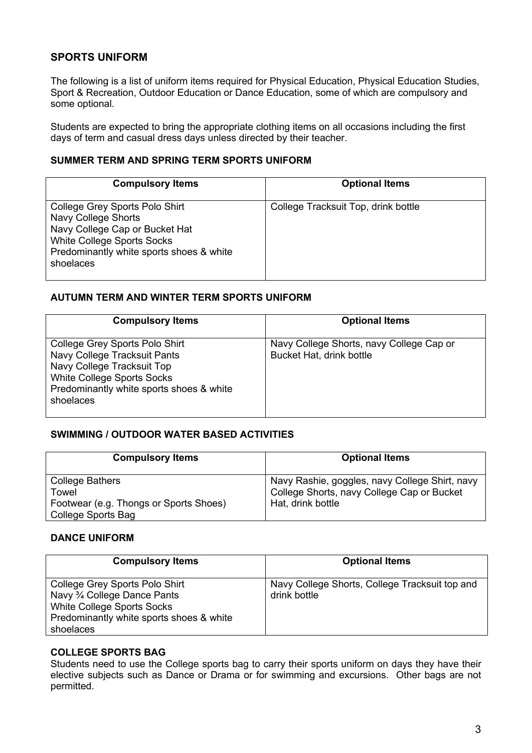# **SPORTS UNIFORM**

The following is a list of uniform items required for Physical Education, Physical Education Studies, Sport & Recreation, Outdoor Education or Dance Education, some of which are compulsory and some optional.

Students are expected to bring the appropriate clothing items on all occasions including the first days of term and casual dress days unless directed by their teacher.

### **SUMMER TERM AND SPRING TERM SPORTS UNIFORM**

| <b>Compulsory Items</b>                                                                                                                                                        | <b>Optional Items</b>               |
|--------------------------------------------------------------------------------------------------------------------------------------------------------------------------------|-------------------------------------|
| College Grey Sports Polo Shirt<br>Navy College Shorts<br>Navy College Cap or Bucket Hat<br>White College Sports Socks<br>Predominantly white sports shoes & white<br>shoelaces | College Tracksuit Top, drink bottle |

### **AUTUMN TERM AND WINTER TERM SPORTS UNIFORM**

| <b>Compulsory Items</b>                                                                                                                                                             | <b>Optional Items</b>                                                |
|-------------------------------------------------------------------------------------------------------------------------------------------------------------------------------------|----------------------------------------------------------------------|
| College Grey Sports Polo Shirt<br>Navy College Tracksuit Pants<br>Navy College Tracksuit Top<br>White College Sports Socks<br>Predominantly white sports shoes & white<br>shoelaces | Navy College Shorts, navy College Cap or<br>Bucket Hat, drink bottle |

### **SWIMMING / OUTDOOR WATER BASED ACTIVITIES**

| <b>Compulsory Items</b>                | <b>Optional Items</b>                          |
|----------------------------------------|------------------------------------------------|
| <b>College Bathers</b>                 | Navy Rashie, goggles, navy College Shirt, navy |
| Towel                                  | College Shorts, navy College Cap or Bucket     |
| Footwear (e.g. Thongs or Sports Shoes) | Hat, drink bottle                              |
| <b>College Sports Bag</b>              |                                                |

### **DANCE UNIFORM**

| <b>Compulsory Items</b>                                                                                                                               | <b>Optional Items</b>                                          |
|-------------------------------------------------------------------------------------------------------------------------------------------------------|----------------------------------------------------------------|
| College Grey Sports Polo Shirt<br>Navy 3/4 College Dance Pants<br>White College Sports Socks<br>Predominantly white sports shoes & white<br>shoelaces | Navy College Shorts, College Tracksuit top and<br>drink bottle |

# **COLLEGE SPORTS BAG**

Students need to use the College sports bag to carry their sports uniform on days they have their elective subjects such as Dance or Drama or for swimming and excursions. Other bags are not permitted.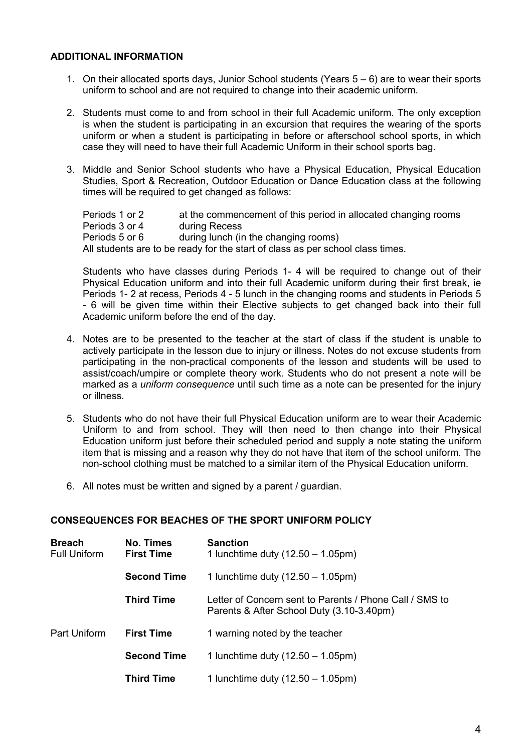### **ADDITIONAL INFORMATION**

- 1. On their allocated sports days, Junior School students (Years 5 6) are to wear their sports uniform to school and are not required to change into their academic uniform.
- 2. Students must come to and from school in their full Academic uniform. The only exception is when the student is participating in an excursion that requires the wearing of the sports uniform or when a student is participating in before or afterschool school sports, in which case they will need to have their full Academic Uniform in their school sports bag.
- 3. Middle and Senior School students who have a Physical Education, Physical Education Studies, Sport & Recreation, Outdoor Education or Dance Education class at the following times will be required to get changed as follows:

Periods 1 or 2 at the commencement of this period in allocated changing rooms Periods 3 or 4 during Recess<br>Periods 5 or 6 during lunch (in during lunch (in the changing rooms) All students are to be ready for the start of class as per school class times.

Students who have classes during Periods 1- 4 will be required to change out of their Physical Education uniform and into their full Academic uniform during their first break, ie Periods 1- 2 at recess, Periods 4 - 5 lunch in the changing rooms and students in Periods 5 - 6 will be given time within their Elective subjects to get changed back into their full Academic uniform before the end of the day.

- 4. Notes are to be presented to the teacher at the start of class if the student is unable to actively participate in the lesson due to injury or illness. Notes do not excuse students from participating in the non-practical components of the lesson and students will be used to assist/coach/umpire or complete theory work. Students who do not present a note will be marked as a *uniform consequence* until such time as a note can be presented for the injury or illness.
- 5. Students who do not have their full Physical Education uniform are to wear their Academic Uniform to and from school. They will then need to then change into their Physical Education uniform just before their scheduled period and supply a note stating the uniform item that is missing and a reason why they do not have that item of the school uniform. The non-school clothing must be matched to a similar item of the Physical Education uniform.
- 6. All notes must be written and signed by a parent / guardian.

### **CONSEQUENCES FOR BEACHES OF THE SPORT UNIFORM POLICY**

| <b>Breach</b><br><b>Full Uniform</b> | No. Times<br><b>First Time</b> | <b>Sanction</b><br>1 lunchtime duty $(12.50 - 1.05 \text{pm})$                                       |
|--------------------------------------|--------------------------------|------------------------------------------------------------------------------------------------------|
|                                      | <b>Second Time</b>             | 1 lunchtime duty $(12.50 - 1.05 \text{pm})$                                                          |
|                                      | <b>Third Time</b>              | Letter of Concern sent to Parents / Phone Call / SMS to<br>Parents & After School Duty (3.10-3.40pm) |
| Part Uniform                         | <b>First Time</b>              | 1 warning noted by the teacher                                                                       |
|                                      | <b>Second Time</b>             | 1 lunchtime duty $(12.50 - 1.05 \text{pm})$                                                          |
|                                      | <b>Third Time</b>              | 1 lunchtime duty $(12.50 - 1.05 \text{pm})$                                                          |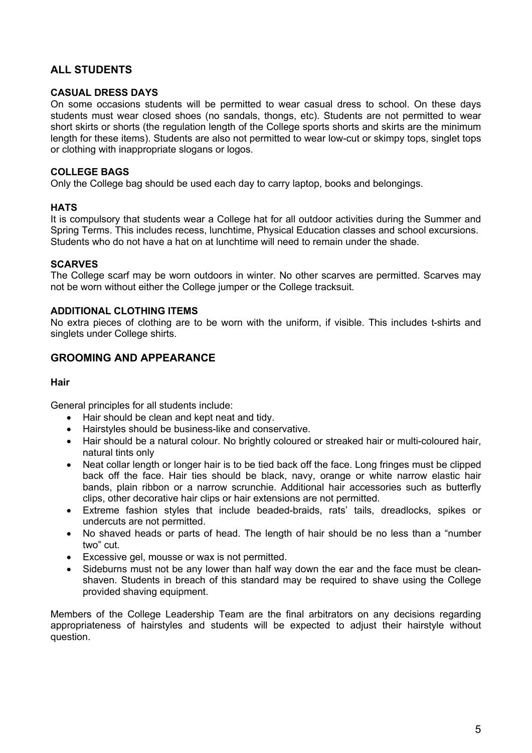# **ALL STUDENTS**

### **CASUAL DRESS DAYS**

On some occasions students will be permitted to wear casual dress to school. On these days students must wear closed shoes (no sandals, thongs, etc). Students are not permitted to wear short skirts or shorts (the regulation length of the College sports shorts and skirts are the minimum length for these items). Students are also not permitted to wear low-cut or skimpy tops, singlet tops or clothing with inappropriate slogans or logos.

#### **COLLEGE BAGS**

Only the College bag should be used each day to carry laptop, books and belongings.

#### **HATS**

It is compulsory that students wear a College hat for all outdoor activities during the Summer and Spring Terms. This includes recess, lunchtime, Physical Education classes and school excursions. Students who do not have a hat on at lunchtime will need to remain under the shade.

#### **SCARVES**

The College scarf may be worn outdoors in winter. No other scarves are permitted. Scarves may not be worn without either the College jumper or the College tracksuit.

#### **ADDITIONAL CLOTHING ITEMS**

No extra pieces of clothing are to be worn with the uniform, if visible. This includes t-shirts and singlets under College shirts.

### **GROOMING AND APPEARANCE**

#### **Hair**

General principles for all students include:

- Hair should be clean and kept neat and tidy.
- Hairstyles should be business-like and conservative.
- Hair should be a natural colour. No brightly coloured or streaked hair or multi-coloured hair, natural tints only
- Neat collar length or longer hair is to be tied back off the face. Long fringes must be clipped back off the face. Hair ties should be black, navy, orange or white narrow elastic hair bands, plain ribbon or a narrow scrunchie. Additional hair accessories such as butterfly clips, other decorative hair clips or hair extensions are not permitted.
- Extreme fashion styles that include beaded-braids, rats' tails, dreadlocks, spikes or undercuts are not permitted.
- No shaved heads or parts of head. The length of hair should be no less than a "number two" cut.
- Excessive gel, mousse or wax is not permitted.
- Sideburns must not be any lower than half way down the ear and the face must be cleanshaven. Students in breach of this standard may be required to shave using the College provided shaving equipment.

Members of the College Leadership Team are the final arbitrators on any decisions regarding appropriateness of hairstyles and students will be expected to adjust their hairstyle without question.